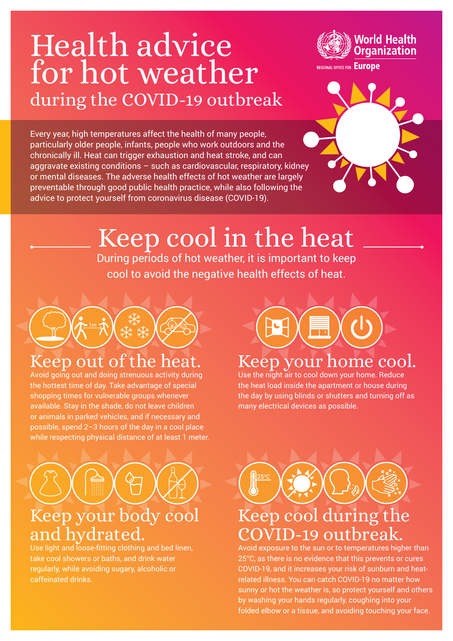## during the COVID-19 outbreak Health advice for hot weather

Every year, high temperatures affect the health of many people, particularly older people, infants, people who work outdoors and the chronically ill. Heat can trigger exhaustion and heat stroke, and can aggravate existing conditions – such as cardiovascular, respiratory, kidney or mental diseases. The adverse health effects of hot weather are largely preventable through good public health practice, while also following the advice to protect yourself from coronavirus disease (COVID-19).



# Keep cool in the heat

During periods of hot weather, it is important to keep cool to avoid the negative health effects of heat.



### Keep out of the heat.

Avoid going out and doing strenuous activity during the hottest time of day. Take advantage of special shopping times for vulnerable groups whenever available. Stay in the shade, do not leave children or animals in parked vehicles, and if necessary and possible, spend 2–3 hours of the day in a cool place while respecting physical distance of at least 1 meter.

# Keep your body cool and hydrated.

Use light and loose-fitting clothing and bed linen, take cool showers or baths, and drink water regularly, while avoiding sugary, alcoholic or caffeinated drinks.



#### Keep your home cool.

Use the night air to cool down your home. Reduce the heat load inside the apartment or house during the day by using blinds or shutters and turning off as many electrical devices as possible.



Avoid exposure to the sun or to temperatures higher than 25°C, as there is no evidence that this prevents or cures COVID-19, and it increases your risk of sunburn and heatrelated illness. You can catch COVID-19 no matter how sunny or hot the weather is, so protect yourself and others by washing your hands regularly, coughing into your folded elbow or a tissue, and avoiding touching your face.